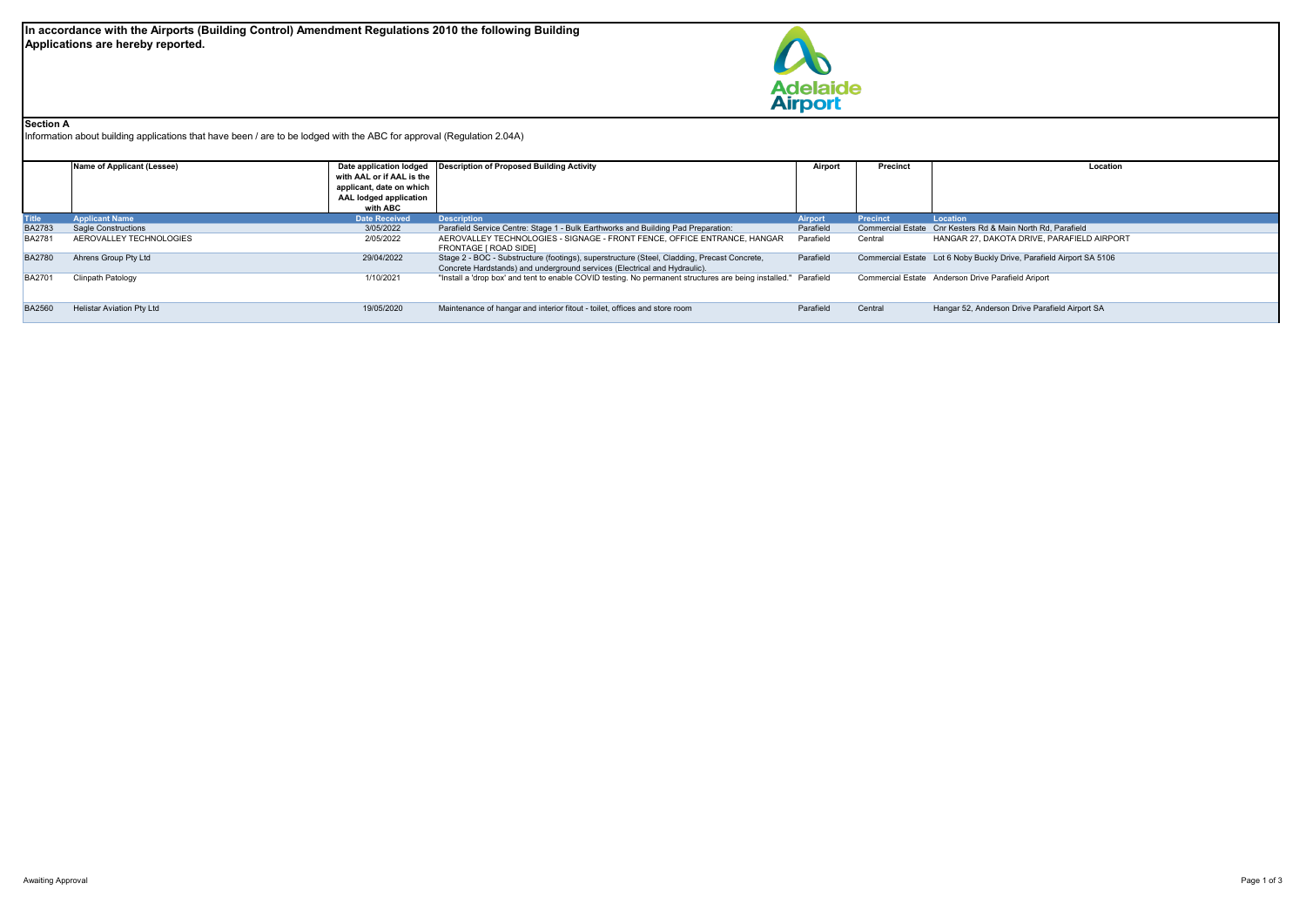

## **Section A**

Information about building applications that have been / are to be lodged with the ABC for approval (Regulation 2.04A)

|               | Name of Applicant (Lessee)       |                           | Date application lodged   Description of Proposed Building Activity                                             |                | Precinct | Location                                                             |  |  |
|---------------|----------------------------------|---------------------------|-----------------------------------------------------------------------------------------------------------------|----------------|----------|----------------------------------------------------------------------|--|--|
|               |                                  | with AAL or if AAL is the |                                                                                                                 |                |          |                                                                      |  |  |
|               |                                  | applicant, date on which  |                                                                                                                 |                |          |                                                                      |  |  |
|               |                                  | AAL lodged application    |                                                                                                                 |                |          |                                                                      |  |  |
|               |                                  | with ABC                  |                                                                                                                 |                |          |                                                                      |  |  |
| <b>Title</b>  | <b>Applicant Name</b>            | <b>Date Received</b>      | <b>Description</b>                                                                                              | <b>Airport</b> | Precinct | Location                                                             |  |  |
| <b>BA2783</b> | <b>Sagle Constructions</b>       | 3/05/2022                 | Parafield Service Centre: Stage 1 - Bulk Earthworks and Building Pad Preparation:                               | Parafield      |          | Commercial Estate Cnr Kesters Rd & Main North Rd. Parafield          |  |  |
| <b>BA2781</b> | AEROVALLEY TECHNOLOGIES          | 2/05/2022                 | AEROVALLEY TECHNOLOGIES - SIGNAGE - FRONT FENCE, OFFICE ENTRANCE, HANGAR                                        | Parafield      | Central  | HANGAR 27, DAKOTA DRIVE, PARAFIELD AIRPORT                           |  |  |
|               |                                  |                           | FRONTAGE I ROAD SIDE1                                                                                           |                |          |                                                                      |  |  |
| <b>BA2780</b> | Ahrens Group Pty Ltd             | 29/04/2022                | Stage 2 - BOC - Substructure (footings), superstructure (Steel, Cladding, Precast Concrete,                     | Parafield      |          | Commercial Estate Lot 6 Noby Buckly Drive, Parafield Airport SA 5106 |  |  |
|               |                                  |                           | Concrete Hardstands) and underground services (Electrical and Hydraulic).                                       |                |          |                                                                      |  |  |
| <b>BA2701</b> | Clinpath Patology                | 1/10/2021                 | "Install a 'drop box' and tent to enable COVID testing. No permanent structures are being installed." Parafield |                |          | Commercial Estate Anderson Drive Parafield Ariport                   |  |  |
|               |                                  |                           |                                                                                                                 |                |          |                                                                      |  |  |
|               |                                  |                           |                                                                                                                 |                |          |                                                                      |  |  |
| <b>BA2560</b> | <b>Helistar Aviation Ptv Ltd</b> | 19/05/2020                | Maintenance of hangar and interior fitout - toilet, offices and store room                                      | Parafield      | Central  | Hangar 52, Anderson Drive Parafield Airport SA                       |  |  |
|               |                                  |                           |                                                                                                                 |                |          |                                                                      |  |  |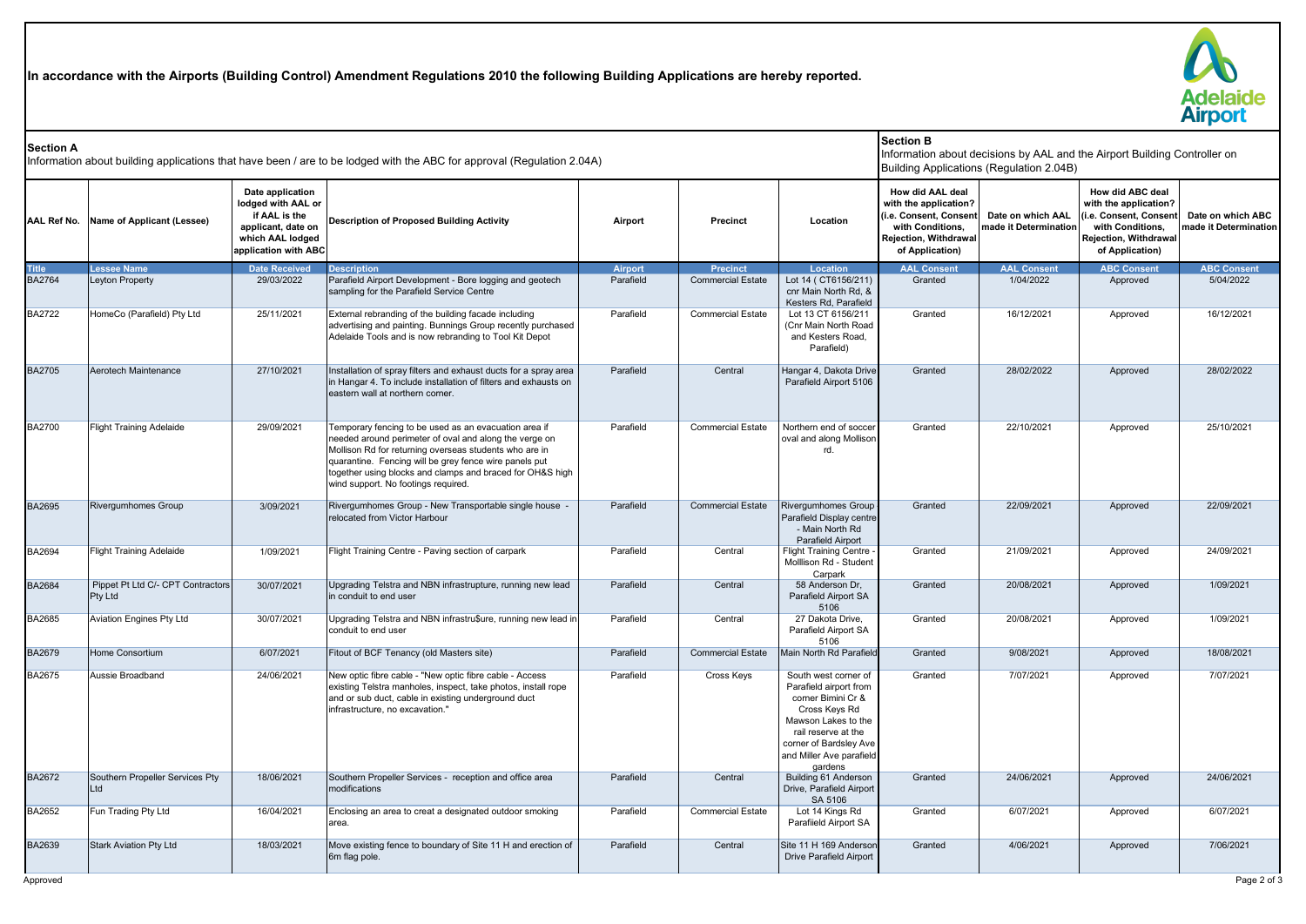**In accordance with the Airports (Building Control) Amendment Regulations 2010 the following Building Applications are hereby reported.**



| <b>Section A</b><br>Information about building applications that have been / are to be lodged with the ABC for approval (Regulation 2.04A) |                                                     |                                                                                                                           |                                                                                                                                                                                                                                                                                                                                         |           |                          | <b>Section B</b><br>Information about decisions by AAL and the Airport Building Controller on<br>Building Applications (Regulation 2.04B)                                                            |                                                                                                                                     |                                            |                                                                                                                                    |                                            |
|--------------------------------------------------------------------------------------------------------------------------------------------|-----------------------------------------------------|---------------------------------------------------------------------------------------------------------------------------|-----------------------------------------------------------------------------------------------------------------------------------------------------------------------------------------------------------------------------------------------------------------------------------------------------------------------------------------|-----------|--------------------------|------------------------------------------------------------------------------------------------------------------------------------------------------------------------------------------------------|-------------------------------------------------------------------------------------------------------------------------------------|--------------------------------------------|------------------------------------------------------------------------------------------------------------------------------------|--------------------------------------------|
|                                                                                                                                            | AAL Ref No. Name of Applicant (Lessee)              | Date application<br>lodged with AAL or<br>if AAL is the<br>applicant, date on<br>which AAL lodged<br>application with ABC | Description of Proposed Building Activity                                                                                                                                                                                                                                                                                               | Airport   | Precinct                 | Location                                                                                                                                                                                             | How did AAL deal<br>with the application?<br>(i.e. Consent, Consent<br>with Conditions,<br>Rejection, Withdrawal<br>of Application) | Date on which AAL<br>nade it Determination | How did ABC deal<br>with the application?<br>i.e. Consent, Consent<br>with Conditions,<br>Rejection, Withdrawal<br>of Application) | Date on which ABC<br>made it Determination |
| Fitle                                                                                                                                      | <b>Lessee Name</b>                                  | <b>Date Received</b>                                                                                                      | <b>Description</b>                                                                                                                                                                                                                                                                                                                      | Airport   | <b>Precinct</b>          | <b>Location</b>                                                                                                                                                                                      | <b>AAL Consent</b>                                                                                                                  | <b>AAL Consent</b>                         | <b>ABC Consent</b>                                                                                                                 | <b>ABC Consent</b>                         |
| <b>BA2764</b>                                                                                                                              | Leyton Property                                     | 29/03/2022                                                                                                                | Parafield Airport Development - Bore logging and geotech<br>sampling for the Parafield Service Centre                                                                                                                                                                                                                                   | Parafield | <b>Commercial Estate</b> | Lot 14 (CT6156/211)<br>cnr Main North Rd, &<br>Kesters Rd, Parafield                                                                                                                                 | Granted                                                                                                                             | 1/04/2022                                  | Approved                                                                                                                           | 5/04/2022                                  |
| <b>BA2722</b>                                                                                                                              | HomeCo (Parafield) Pty Ltd                          | 25/11/2021                                                                                                                | External rebranding of the building facade including<br>advertising and painting. Bunnings Group recently purchased<br>Adelaide Tools and is now rebranding to Tool Kit Depot                                                                                                                                                           | Parafield | <b>Commercial Estate</b> | Lot 13 CT 6156/211<br>(Cnr Main North Road<br>and Kesters Road.<br>Parafield)                                                                                                                        | Granted                                                                                                                             | 16/12/2021                                 | Approved                                                                                                                           | 16/12/2021                                 |
| <b>BA2705</b>                                                                                                                              | Aerotech Maintenance                                | 27/10/2021                                                                                                                | Installation of spray filters and exhaust ducts for a spray area<br>in Hangar 4. To include installation of filters and exhausts on<br>eastern wall at northern corner.                                                                                                                                                                 | Parafield | Central                  | Hangar 4, Dakota Drive<br>Parafield Airport 5106                                                                                                                                                     | Granted                                                                                                                             | 28/02/2022                                 | Approved                                                                                                                           | 28/02/2022                                 |
| <b>BA2700</b>                                                                                                                              | <b>Flight Training Adelaide</b>                     | 29/09/2021                                                                                                                | Temporary fencing to be used as an evacuation area if<br>needed around perimeter of oval and along the verge on<br>Mollison Rd for returning overseas students who are in<br>quarantine. Fencing will be grey fence wire panels put<br>together using blocks and clamps and braced for OH&S high<br>wind support. No footings required. | Parafield | <b>Commercial Estate</b> | Northern end of soccer<br>oval and along Mollison<br>rd.                                                                                                                                             | Granted                                                                                                                             | 22/10/2021                                 | Approved                                                                                                                           | 25/10/2021                                 |
| <b>BA2695</b>                                                                                                                              | <b>Rivergumhomes Group</b>                          | 3/09/2021                                                                                                                 | Rivergumhomes Group - New Transportable single house -<br>relocated from Victor Harbour                                                                                                                                                                                                                                                 | Parafield | <b>Commercial Estate</b> | <b>Rivergumhomes Group</b><br>Parafield Display centre<br>- Main North Rd<br>Parafield Airport                                                                                                       | Granted                                                                                                                             | 22/09/2021                                 | Approved                                                                                                                           | 22/09/2021                                 |
| BA2694                                                                                                                                     | <b>Flight Training Adelaide</b>                     | 1/09/2021                                                                                                                 | Flight Training Centre - Paving section of carpark                                                                                                                                                                                                                                                                                      | Parafield | Central                  | <b>Flight Training Centre</b><br>Molllison Rd - Student<br>Carpark                                                                                                                                   | Granted                                                                                                                             | 21/09/2021                                 | Approved                                                                                                                           | 24/09/2021                                 |
| <b>BA2684</b>                                                                                                                              | Pippet Pt Ltd C/- CPT Contractors<br><b>Pty Ltd</b> | 30/07/2021                                                                                                                | Upgrading Telstra and NBN infrastrupture, running new lead<br>in conduit to end user                                                                                                                                                                                                                                                    | Parafield | Central                  | 58 Anderson Dr.<br>Parafield Airport SA<br>5106                                                                                                                                                      | Granted                                                                                                                             | 20/08/2021                                 | Approved                                                                                                                           | 1/09/2021                                  |
| BA2685                                                                                                                                     | Aviation Engines Pty Ltd                            | 30/07/2021                                                                                                                | Upgrading Telstra and NBN infrastru\$ure, running new lead in<br>conduit to end user                                                                                                                                                                                                                                                    | Parafield | Central                  | 27 Dakota Drive,<br>Parafield Airport SA<br>5106                                                                                                                                                     | Granted                                                                                                                             | 20/08/2021                                 | Approved                                                                                                                           | 1/09/2021                                  |
| BA2679                                                                                                                                     | Home Consortium                                     | 6/07/2021                                                                                                                 | Fitout of BCF Tenancy (old Masters site)                                                                                                                                                                                                                                                                                                | Parafield | <b>Commercial Estate</b> | Main North Rd Parafield                                                                                                                                                                              | Granted                                                                                                                             | 9/08/2021                                  | Approved                                                                                                                           | 18/08/2021                                 |
| BA2675                                                                                                                                     | Aussie Broadband                                    | 24/06/2021                                                                                                                | New optic fibre cable - "New optic fibre cable - Access<br>existing Telstra manholes, inspect, take photos, install rope<br>and or sub duct, cable in existing underground duct<br>infrastructure, no excavation."                                                                                                                      | Parafield | Cross Keys               | South west corner of<br>Parafield airport from<br>corner Bimini Cr &<br>Cross Keys Rd<br>Mawson Lakes to the<br>rail reserve at the<br>corner of Bardsley Ave<br>and Miller Ave parafield<br>gardens | Granted                                                                                                                             | 7/07/2021                                  | Approved                                                                                                                           | 7/07/2021                                  |
| BA2672                                                                                                                                     | Southern Propeller Services Pty<br>Ltd              | 18/06/2021                                                                                                                | Southern Propeller Services - reception and office area<br>modifications                                                                                                                                                                                                                                                                | Parafield | Central                  | Building 61 Anderson<br>Drive, Parafield Airport<br>SA 5106                                                                                                                                          | Granted                                                                                                                             | 24/06/2021                                 | Approved                                                                                                                           | 24/06/2021                                 |
| BA2652                                                                                                                                     | Fun Trading Pty Ltd                                 | 16/04/2021                                                                                                                | Enclosing an area to creat a designated outdoor smoking<br>area.                                                                                                                                                                                                                                                                        | Parafield | <b>Commercial Estate</b> | Lot 14 Kings Rd<br>Parafiield Airport SA                                                                                                                                                             | Granted                                                                                                                             | 6/07/2021                                  | Approved                                                                                                                           | 6/07/2021                                  |
| BA2639                                                                                                                                     | <b>Stark Aviation Pty Ltd</b>                       | 18/03/2021                                                                                                                | Move existing fence to boundary of Site 11 H and erection of<br>6m flag pole.                                                                                                                                                                                                                                                           | Parafield | Central                  | Site 11 H 169 Andersor<br>Drive Parafield Airport                                                                                                                                                    | Granted                                                                                                                             | 4/06/2021                                  | Approved                                                                                                                           | 7/06/2021                                  |